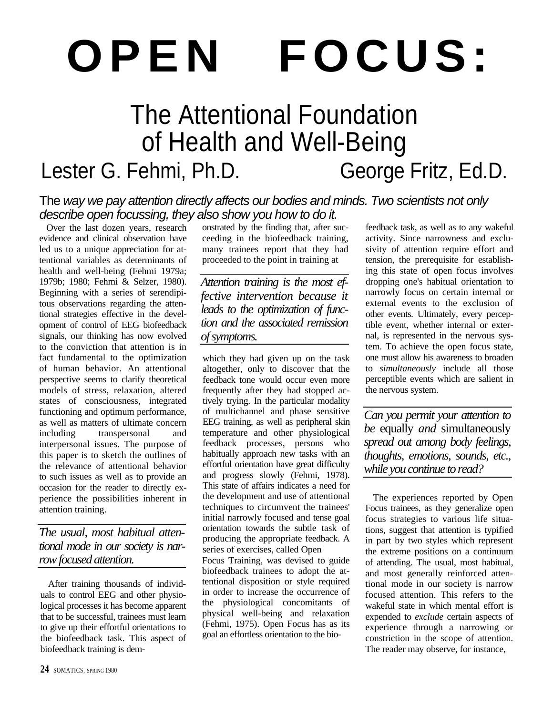# **OPEN FOCUS:**

## The Attentional Foundation of Health and Well-Being Lester G. Fehmi, Ph.D. George Fritz, Ed.D.

The *way we pay attention directly affects our bodies and minds. Two scientists not only describe open focussing, they also show you how to do it.*

Over the last dozen years, research evidence and clinical observation have led us to a unique appreciation for attentional variables as determinants of health and well-being (Fehmi 1979a; 1979b; 1980; Fehmi & Selzer, 1980). Beginning with a series of serendipitous observations regarding the attentional strategies effective in the development of control of EEG biofeedback signals, our thinking has now evolved to the conviction that attention is in fact fundamental to the optimization of human behavior. An attentional perspective seems to clarify theoretical models of stress, relaxation, altered states of consciousness, integrated functioning and optimum performance, as well as matters of ultimate concern including transpersonal and interpersonal issues. The purpose of this paper is to sketch the outlines of the relevance of attentional behavior to such issues as well as to provide an occasion for the reader to directly experience the possibilities inherent in attention training.

*The usual, most habitual attentional mode in our society is narrow focused attention.*

After training thousands of individuals to control EEG and other physiological processes it has become apparent that to be successful, trainees must learn to give up their effortful orientations to the biofeedback task. This aspect of biofeedback training is demonstrated by the finding that, after succeeding in the biofeedback training, many trainees report that they had proceeded to the point in training at

*Attention training is the most effective intervention because it leads to the optimization of function and the associated remission of symptoms.*

which they had given up on the task altogether, only to discover that the feedback tone would occur even more frequently after they had stopped actively trying. In the particular modality of multichannel and phase sensitive EEG training, as well as peripheral skin temperature and other physiological feedback processes, persons who habitually approach new tasks with an effortful orientation have great difficulty and progress slowly (Fehmi, 1978). This state of affairs indicates a need for the development and use of attentional techniques to circumvent the trainees' initial narrowly focused and tense goal orientation towards the subtle task of producing the appropriate feedback. A series of exercises, called Open

Focus Training, was devised to guide biofeedback trainees to adopt the attentional disposition or style required in order to increase the occurrence of the physiological concomitants of physical well-being and relaxation (Fehmi, 1975). Open Focus has as its goal an effortless orientation to the bio-

feedback task, as well as to any wakeful activity. Since narrowness and exclusivity of attention require effort and tension, the prerequisite for establishing this state of open focus involves dropping one's habitual orientation to narrowly focus on certain internal or external events to the exclusion of other events. Ultimately, every perceptible event, whether internal or external, is represented in the nervous system. To achieve the open focus state, one must allow his awareness to broaden to *simultaneously* include all those perceptible events which are salient in the nervous system.

*Can you permit your attention to be* equally *and* simultaneously *spread out among body feelings, thoughts, emotions, sounds, etc., while you continue to read?*

The experiences reported by Open Focus trainees, as they generalize open focus strategies to various life situations, suggest that attention is typified in part by two styles which represent the extreme positions on a continuum of attending. The usual, most habitual, and most generally reinforced attentional mode in our society is narrow focused attention. This refers to the wakeful state in which mental effort is expended to *exclude* certain aspects of experience through a narrowing or constriction in the scope of attention. The reader may observe, for instance,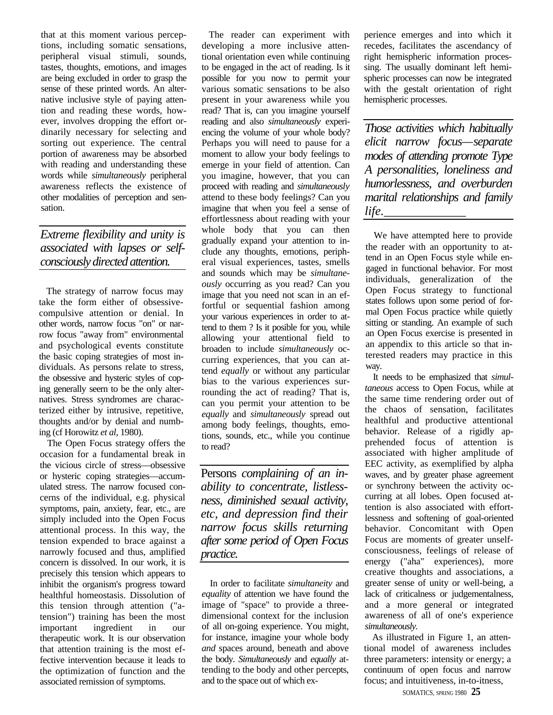that at this moment various perceptions, including somatic sensations, peripheral visual stimuli, sounds, tastes, thoughts, emotions, and images are being excluded in order to grasp the sense of these printed words. An alternative inclusive style of paying attention and reading these words, however, involves dropping the effort ordinarily necessary for selecting and sorting out experience. The central portion of awareness may be absorbed with reading and understanding these words while *simultaneously* peripheral awareness reflects the existence of other modalities of perception and sensation.

*Extreme flexibility and unity is associated with lapses or selfconsciously directed attention.*

The strategy of narrow focus may take the form either of obsessivecompulsive attention or denial. In other words, narrow focus "on" or narrow focus "away from" environmental and psychological events constitute the basic coping strategies of most individuals. As persons relate to stress, the obsessive and hysteric styles of coping generally seern to be the only alternatives. Stress syndromes are characterized either by intrusive, repetitive, thoughts and/or by denial and numbing (cf Horowitz *et al,* 1980).

The Open Focus strategy offers the occasion for a fundamental break in the vicious circle of stress—obsessive or hysteric coping strategies—accumulated stress. The narrow focused concerns of the individual, e.g. physical symptoms, pain, anxiety, fear, etc., are simply included into the Open Focus attentional process. In this way, the tension expended to brace against a narrowly focused and thus, amplified concern is dissolved. In our work, it is precisely this tension which appears to inhibit the organism's progress toward healthful homeostasis. Dissolution of this tension through attention ("atension") training has been the most important ingredient in our therapeutic work. It is our observation that attention training is the most effective intervention because it leads to the optimization of function and the associated remission of symptoms.

The reader can experiment with developing a more inclusive attentional orientation even while continuing to be engaged in the act of reading. Is it possible for you now to permit your various somatic sensations to be also present in your awareness while you read? That is, can you imagine yourself reading and also *simultaneously* experiencing the volume of your whole body? Perhaps you will need to pause for a moment to allow your body feelings to emerge in your field of attention. Can you imagine, however, that you can proceed with reading and *simultaneously* attend to these body feelings? Can you imagine that when you feel a sense of effortlessness about reading with your whole body that you can then gradually expand your attention to include any thoughts, emotions, peripheral visual experiences, tastes, smells and sounds which may be *simultaneously* occurring as you read? Can you image that you need not scan in an effortful or sequential fashion among your various experiences in order to attend to them ? Is it posible for you, while allowing your attentional field to broaden to include *simultaneously* occurring experiences, that you can attend *equally* or without any particular bias to the various experiences surrounding the act of reading? That is, can you permit your attention to be *equally* and *simultaneously* spread out among body feelings, thoughts, emotions, sounds, etc., while you continue to read?

Persons *complaining of an inability to concentrate, listlessness, diminished sexual activity, etc, and depression find their narrow focus skills returning after some period of Open Focus practice.*

In order to facilitate *simultaneity* and *equality* of attention we have found the image of "space" to provide a threedimensional context for the inclusion of all on-going experience. You might, for instance, imagine your whole body *and* spaces around, beneath and above the body. *Simultaneously* and *equally* attending to the body and other percepts, and to the space out of which experience emerges and into which it recedes, facilitates the ascendancy of right hemispheric information processing. The usually dominant left hemispheric processes can now be integrated with the gestalt orientation of right hemispheric processes.

*Those activities which habitually elicit narrow focus—separate modes of attending promote Type A personalities, loneliness and humorlessness, and overburden marital relationships and family life.\_\_\_\_\_\_\_\_\_\_\_\_\_*

We have attempted here to provide the reader with an opportunity to attend in an Open Focus style while engaged in functional behavior. For most individuals, generalization of the Open Focus strategy to functional states follows upon some period of formal Open Focus practice while quietly sitting or standing. An example of such an Open Focus exercise is presented in an appendix to this article so that interested readers may practice in this way.

It needs to be emphasized that *simultaneous* access to Open Focus, while at the same time rendering order out of the chaos of sensation, facilitates healthful and productive attentional behavior. Release of a rigidly apprehended focus of attention is associated with higher amplitude of EEC activity, as exemplified by alpha waves, and by greater phase agreement or synchrony between the activity occurring at all lobes. Open focused attention is also associated with effortlessness and softening of goal-oriented behavior. Concomitant with Open Focus are moments of greater unselfconsciousness, feelings of release of energy ("aha" experiences), more creative thoughts and associations, a greater sense of unity or well-being, a lack of criticalness or judgementalness, and a more general or integrated awareness of all of one's experience *simultaneously.*

As illustrated in Figure 1, an attentional model of awareness includes three parameters: intensity or energy; a continuum of open focus and narrow focus; and intuitiveness, in-to-itness,

SOMATICS, SPRING <sup>1980</sup>**25**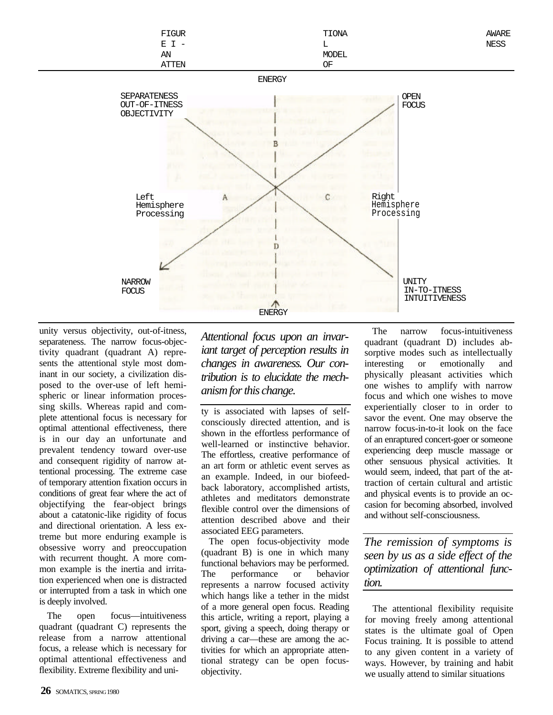

unity versus objectivity, out-of-itness, separateness. The narrow focus-objectivity quadrant (quadrant A) represents the attentional style most dominant in our society, a civilization disposed to the over-use of left hemispheric or linear information processing skills. Whereas rapid and complete attentional focus is necessary for optimal attentional effectiveness, there is in our day an unfortunate and prevalent tendency toward over-use and consequent rigidity of narrow attentional processing. The extreme case of temporary attention fixation occurs in conditions of great fear where the act of objectifying the fear-object brings about a catatonic-like rigidity of focus and directional orientation. A less extreme but more enduring example is obsessive worry and preoccupation with recurrent thought. A more common example is the inertia and irritation experienced when one is distracted or interrupted from a task in which one is deeply involved.

The open focus—intuitiveness quadrant (quadrant C) represents the release from a narrow attentional focus, a release which is necessary for optimal attentional effectiveness and flexibility. Extreme flexibility and uni*Attentional focus upon an invariant target of perception results in changes in awareness. Our contribution is to elucidate the mechanism for this change.*

ty is associated with lapses of selfconsciously directed attention, and is shown in the effortless performance of well-learned or instinctive behavior. The effortless, creative performance of an art form or athletic event serves as an example. Indeed, in our biofeedback laboratory, accomplished artists, athletes and meditators demonstrate flexible control over the dimensions of attention described above and their associated EEG parameters.

The open focus-objectivity mode (quadrant B) is one in which many functional behaviors may be performed. The performance or behavior represents a narrow focused activity which hangs like a tether in the midst of a more general open focus. Reading this article, writing a report, playing a sport, giving a speech, doing therapy or driving a car—these are among the activities for which an appropriate attentional strategy can be open focusobjectivity.

The narrow focus-intuitiveness quadrant (quadrant D) includes absorptive modes such as intellectually interesting or emotionally and physically pleasant activities which one wishes to amplify with narrow focus and which one wishes to move experientially closer to in order to savor the event. One may observe the narrow focus-in-to-it look on the face of an enraptured concert-goer or someone experiencing deep muscle massage or other sensuous physical activities. It would seem, indeed, that part of the attraction of certain cultural and artistic and physical events is to provide an occasion for becoming absorbed, involved and without self-consciousness.

*The remission of symptoms is seen by us as a side effect of the optimization of attentional function.*

The attentional flexibility requisite for moving freely among attentional states is the ultimate goal of Open Focus training. It is possible to attend to any given content in a variety of ways. However, by training and habit we usually attend to similar situations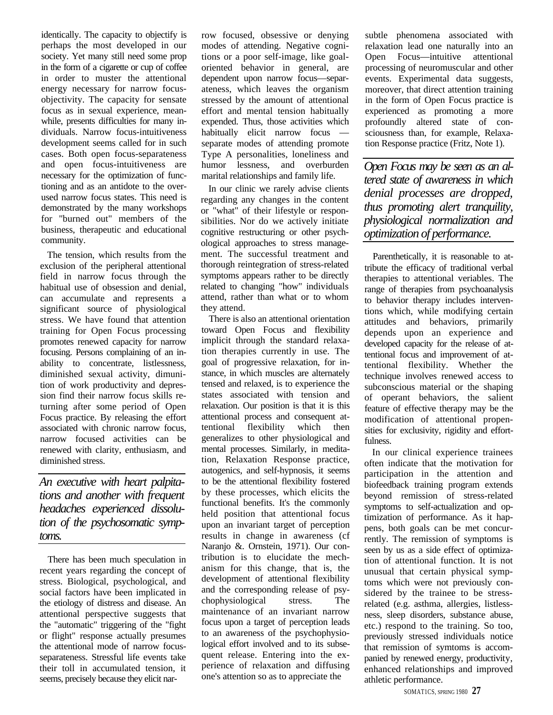identically. The capacity to objectify is perhaps the most developed in our society. Yet many still need some prop in the form of a cigarette or cup of coffee in order to muster the attentional energy necessary for narrow focusobjectivity. The capacity for sensate focus as in sexual experience, meanwhile, presents difficulties for many individuals. Narrow focus-intuitiveness development seems called for in such cases. Both open focus-separateness and open focus-intuitiveness are necessary for the optimization of functioning and as an antidote to the overused narrow focus states. This need is demonstrated by the many workshops for "burned out" members of the business, therapeutic and educational community.

The tension, which results from the exclusion of the peripheral attentional field in narrow focus through the habitual use of obsession and denial, can accumulate and represents a significant source of physiological stress. We have found that attention training for Open Focus processing promotes renewed capacity for narrow focusing. Persons complaining of an inability to concentrate, listlessness, diminished sexual activity, dimunition of work productivity and depression find their narrow focus skills returning after some period of Open Focus practice. By releasing the effort associated with chronic narrow focus, narrow focused activities can be renewed with clarity, enthusiasm, and diminished stress.

*An executive with heart palpitations and another with frequent headaches experienced dissolution of the psychosomatic symptoms.*

There has been much speculation in recent years regarding the concept of stress. Biological, psychological, and social factors have been implicated in the etiology of distress and disease. An attentional perspective suggests that the "automatic" triggering of the "fight or flight" response actually presumes the attentional mode of narrow focusseparateness. Stressful life events take their toll in accumulated tension, it seems, precisely because they elicit narrow focused, obsessive or denying modes of attending. Negative cognitions or a poor self-image, like goaloriented behavior in general, are dependent upon narrow focus—separateness, which leaves the organism stressed by the amount of attentional effort and mental tension habitually expended. Thus, those activities which habitually elicit narrow focus separate modes of attending promote Type A personalities, loneliness and humor lessness, and overburden marital relationships and family life.

In our clinic we rarely advise clients regarding any changes in the content or "what" of their lifestyle or responsibilities. Nor do we actively initiate cognitive restructuring or other psychological approaches to stress management. The successful treatment and thorough reintegration of stress-related symptoms appears rather to be directly related to changing "how" individuals attend, rather than what or to whom they attend.

There is also an attentional orientation toward Open Focus and flexibility implicit through the standard relaxation therapies currently in use. The goal of progressive relaxation, for instance, in which muscles are alternately tensed and relaxed, is to experience the states associated with tension and relaxation. Our position is that it is this attentional process and consequent attentional flexibility which then generalizes to other physiological and mental processes. Similarly, in meditation, Relaxation Response practice, autogenics, and self-hypnosis, it seems to be the attentional flexibility fostered by these processes, which elicits the functional benefits. It's the commonly held position that attentional focus upon an invariant target of perception results in change in awareness (cf Naranjo &. Ornstein, 1971). Our contribution is to elucidate the mechanism for this change, that is, the development of attentional flexibility and the corresponding release of psychophysiological stress. The maintenance of an invariant narrow focus upon a target of perception leads to an awareness of the psychophysiological effort involved and to its subsequent release. Entering into the experience of relaxation and diffusing one's attention so as to appreciate the

subtle phenomena associated with relaxation lead one naturally into an Open Focus—intuitive attentional processing of neuromuscular and other events. Experimental data suggests, moreover, that direct attention training in the form of Open Focus practice is experienced as promoting a more profoundly altered state of consciousness than, for example, Relaxation Response practice (Fritz, Note 1).

*Open Focus may be seen as an altered state of awareness in which denial processes are dropped, thus promoting alert tranquility, physiological normalization and optimization of performance.*

Parenthetically, it is reasonable to attribute the efficacy of traditional verbal therapies to attentional veriables. The range of therapies from psychoanalysis to behavior therapy includes interventions which, while modifying certain attitudes and behaviors, primarily depends upon an experience and developed capacity for the release of attentional focus and improvement of attentional flexibility. Whether the technique involves renewed access to subconscious material or the shaping of operant behaviors, the salient feature of effective therapy may be the modification of attentional propensities for exclusivity, rigidity and effortfulness.

In our clinical experience trainees often indicate that the motivation for participation in the attention and biofeedback training program extends beyond remission of stress-related symptoms to self-actualization and optimization of performance. As it happens, both goals can be met concurrently. The remission of symptoms is seen by us as a side effect of optimization of attentional function. It is not unusual that certain physical symptoms which were not previously considered by the trainee to be stressrelated (e.g. asthma, allergies, listlessness, sleep disorders, substance abuse, etc.) respond to the training. So too, previously stressed individuals notice that remission of symtoms is accompanied by renewed energy, productivity, enhanced relationships and improved athletic performance.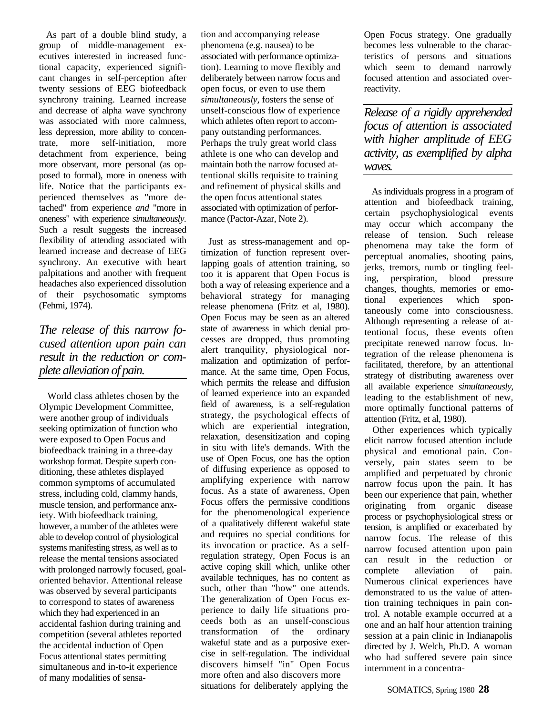As part of a double blind study, a group of middle-management executives interested in increased functional capacity, experienced significant changes in self-perception after twenty sessions of EEG biofeedback synchrony training. Learned increase and decrease of alpha wave synchrony was associated with more calmness, less depression, more ability to concentrate, more self-initiation, more detachment from experience, being more observant, more personal (as opposed to formal), more in oneness with life. Notice that the participants experienced themselves as "more detached" from experience *and* "more in oneness" with experience *simultaneously.* Such a result suggests the increased flexibility of attending associated with learned increase and decrease of EEG synchrony. An executive with heart palpitations and another with frequent headaches also experienced dissolution of their psychosomatic symptoms (Fehmi, 1974).

*The release of this narrow focused attention upon pain can result in the reduction or complete alleviation of pain.*

World class athletes chosen by the Olympic Development Committee, were another group of individuals seeking optimization of function who were exposed to Open Focus and biofeedback training in a three-day workshop format. Despite superb conditioning, these athletes displayed common symptoms of accumulated stress, including cold, clammy hands, muscle tension, and performance anxiety. With biofeedback training, however, a number of the athletes were able to develop control of physiological systems manifesting stress, as well as to release the mental tensions associated with prolonged narrowly focused, goaloriented behavior. Attentional release was observed by several participants to correspond to states of awareness which they had experienced in an accidental fashion during training and competition (several athletes reported the accidental induction of Open Focus attentional states permitting simultaneous and in-to-it experience of many modalities of sensation and accompanying release phenomena (e.g. nausea) to be associated with performance optimization). Learning to move flexibly and deliberately between narrow focus and open focus, or even to use them *simultaneously,* fosters the sense of unself-conscious flow of experience which athletes often report to accompany outstanding performances. Perhaps the truly great world class athlete is one who can develop and maintain both the narrow focused attentional skills requisite to training and refinement of physical skills and the open focus attentional states associated with optimization of performance (Pactor-Azar, Note 2).

Just as stress-management and optimization of function represent overlapping goals of attention training, so too it is apparent that Open Focus is both a way of releasing experience and a behavioral strategy for managing release phenomena (Fritz et al, 1980). Open Focus may be seen as an altered state of awareness in which denial processes are dropped, thus promoting alert tranquility, physiological normalization and optimization of performance. At the same time, Open Focus, which permits the release and diffusion of learned experience into an expanded field of awareness, is a self-regulation strategy, the psychological effects of which are experiential integration, relaxation, desensitization and coping in situ with life's demands. With the use of Open Focus, one has the option of diffusing experience as opposed to amplifying experience with narrow focus. As a state of awareness, Open Focus offers the permissive conditions for the phenomenological experience of a qualitatively different wakeful state and requires no special conditions for its invocation or practice. As a selfregulation strategy, Open Focus is an active coping skill which, unlike other available techniques, has no content as such, other than "how" one attends. The generalization of Open Focus experience to daily life situations proceeds both as an unself-conscious transformation of the ordinary wakeful state and as a purposive exercise in self-regulation. The individual discovers himself "in" Open Focus more often and also discovers more situations for deliberately applying the

Open Focus strategy. One gradually becomes less vulnerable to the characteristics of persons and situations which seem to demand narrowly focused attention and associated overreactivity.

*Release of a rigidly apprehended focus of attention is associated with higher amplitude of EEG activity, as exemplified by alpha waves.*

As individuals progress in a program of attention and biofeedback training, certain psychophysiological events may occur which accompany the release of tension. Such release phenomena may take the form of perceptual anomalies, shooting pains, jerks, tremors, numb or tingling feeling, perspiration, blood pressure changes, thoughts, memories or emotional experiences which spontaneously come into consciousness. Although representing a release of attentional focus, these events often precipitate renewed narrow focus. Integration of the release phenomena is facilitated, therefore, by an attentional strategy of distributing awareness over all available experience *simultaneously,* leading to the establishment of new, more optimally functional patterns of attention (Fritz, et al, 1980).

Other experiences which typically elicit narrow focused attention include physical and emotional pain. Conversely, pain states seem to be amplified and perpetuated by chronic narrow focus upon the pain. It has been our experience that pain, whether originating from organic disease process or psychophysiological stress or tension, is amplified or exacerbated by narrow focus. The release of this narrow focused attention upon pain can result in the reduction or complete alleviation of pain. Numerous clinical experiences have demonstrated to us the value of attention training techniques in pain control. A notable example occurred at a one and an half hour attention training session at a pain clinic in Indianapolis directed by J. Welch, Ph.D. A woman who had suffered severe pain since internment in a concentra-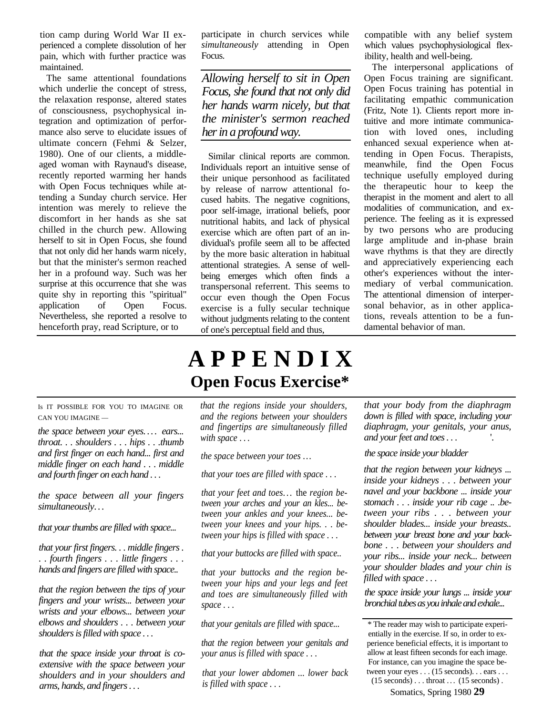tion camp during World War II experienced a complete dissolution of her pain, which with further practice was maintained.

The same attentional foundations which underlie the concept of stress, the relaxation response, altered states of consciousness, psychophysical integration and optimization of performance also serve to elucidate issues of ultimate concern (Fehmi & Selzer, 1980). One of our clients, a middleaged woman with Raynaud's disease, recently reported warming her hands with Open Focus techniques while attending a Sunday church service. Her intention was merely to relieve the discomfort in her hands as she sat chilled in the church pew. Allowing herself to sit in Open Focus, she found that not only did her hands warm nicely, but that the minister's sermon reached her in a profound way. Such was her surprise at this occurrence that she was quite shy in reporting this "spiritual" application of Open Focus. Nevertheless, she reported a resolve to henceforth pray, read Scripture, or to

participate in church services while *simultaneously* attending in Open Focus.

*Allowing herself to sit in Open Focus, she found that not only did her hands warm nicely, but that the minister's sermon reached her in a profound way.*

Similar clinical reports are common. Individuals report an intuitive sense of their unique personhood as facilitated by release of narrow attentional focused habits. The negative cognitions, poor self-image, irrational beliefs, poor nutritional habits, and lack of physical exercise which are often part of an individual's profile seem all to be affected by the more basic alteration in habitual attentional strategies. A sense of wellbeing emerges which often finds a transpersonal referrent. This seems to occur even though the Open Focus exercise is a fully secular technique without judgments relating to the content of one's perceptual field and thus,

compatible with any belief system which values psychophysiological flexibility, health and well-being.

The interpersonal applications of Open Focus training are significant. Open Focus training has potential in facilitating empathic communication (Fritz, Note 1). Clients report more intuitive and more intimate communication with loved ones, including enhanced sexual experience when attending in Open Focus. Therapists, meanwhile, find the Open Focus technique usefully employed during the therapeutic hour to keep the therapist in the moment and alert to all modalities of communication, and experience. The feeling as it is expressed by two persons who are producing large amplitude and in-phase brain wave rhythms is that they are directly and appreciatively experiencing each other's experiences without the intermediary of verbal communication. The attentional dimension of interpersonal behavior, as in other applications, reveals attention to be a fundamental behavior of man.

Is IT POSSIBLE FOR YOU TO IMAGINE OR CAN YOU IMAGINE —

*the space between your eyes*.... *ears... throat. . . shoulders . . . hips . . .thumb and first finger on each hand... first and middle finger on each hand . . . middle and fourth finger on each hand . . .*

*the space between all your fingers simultaneously*...

*that your thumbs are filled with space...*

*that your first fingers. . . middle fingers . . . fourth fingers . . . little fingers . . . hands and fingers are filled with space..*

*that the region between the tips of your fingers and your wrists... between your wrists and your elbows... between your elbows and shoulders . . . between your shoulders is filled with space . . .*

*that the space inside your throat is coextensive with the space between your shoulders and in your shoulders and arms, hands, and fingers . . .*

## **APPENDIX Open Focus Exercise\***

*that the regions inside your shoulders, and the regions between your shoulders and fingertips are simultaneously filled with space* ...

*the space between your toes* ...

*that your toes are filled with space . . .*

*that your feet and toes*... the *region between your arches and your an kles... between your ankles and your knees... between your knees and your hips. . . between your hips is filled with space . . .*

*that your buttocks are filled with space..*

*that your buttocks and the region between your hips and your legs and feet and toes are simultaneously filled with space . . .*

*that your genitals are filled with space...*

*that the region between your genitals and your anus is filled with space . . .*

*that your lower abdomen ... lower back is filled with space . . .*

*that your body from the diaphragm down is filled with space, including your diaphragm, your genitals, your anus, and your feet and toes...* 

*the space inside your bladder*

*that the region between your kidneys ... inside your kidneys . . . between your navel and your backbone ... inside your stomach . .* . *inside your rib cage .. .between your ribs . . . between your shoulder blades... inside your breasts.. between your breast bone and your backbone . . . between your shoulders and your ribs... inside your neck... between your shoulder blades and your chin is filled with space . . .*

*the space inside your lungs ... inside your bronchial tubes as you inhale and exhale...*

*<sup>\*</sup>* The reader may wish to participate experientially in the exercise. If so, in order to experience beneficial effects, it is important to allow at least fifteen seconds for each image. For instance, can you imagine the space between your eyes . . . (15 seconds). . . ears . . . (15 seconds) . . . throat ... (15 seconds) .

Somatics, Spring 1980 **29**